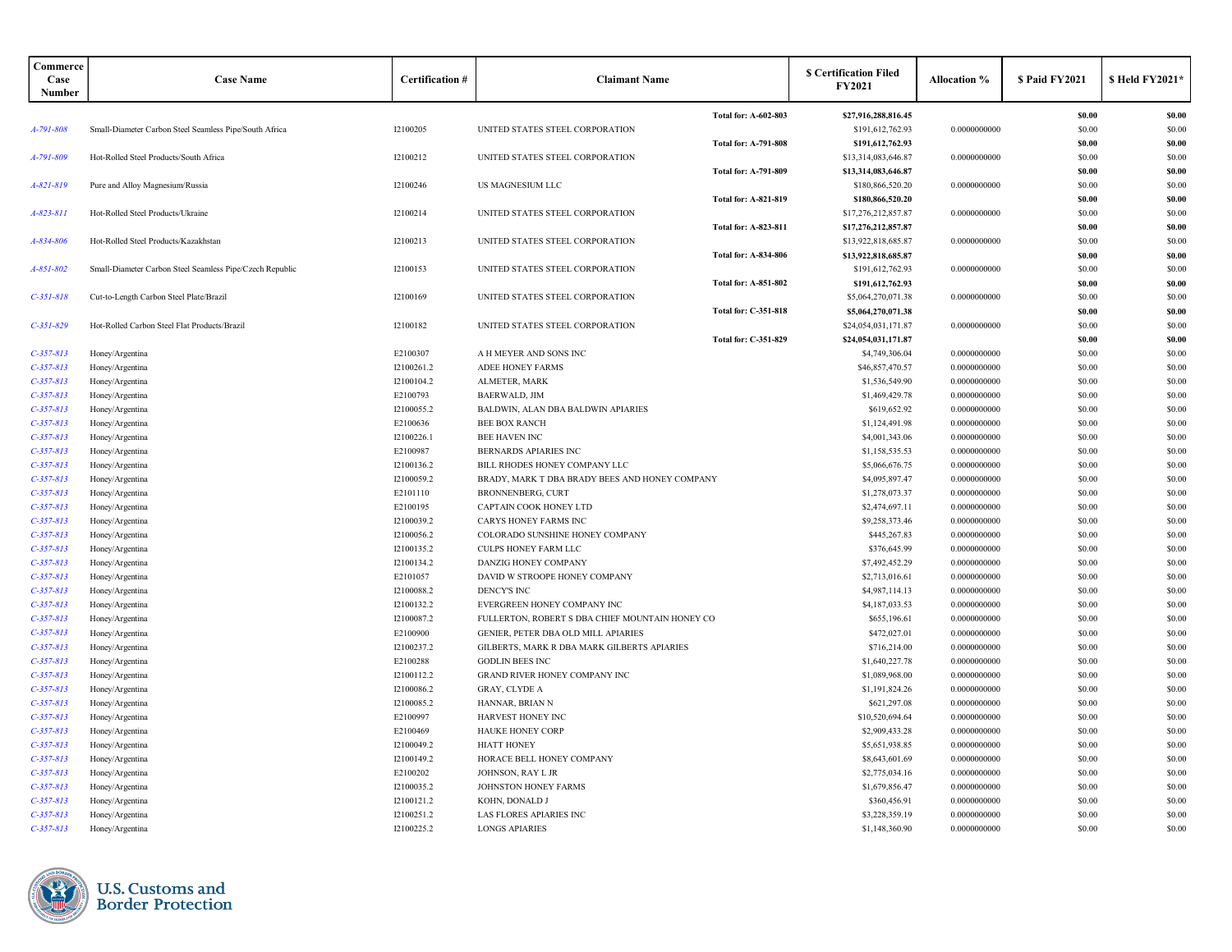| Commerce<br>Case<br>Number | <b>Case Name</b>                                         | <b>Certification #</b>   | <b>Claimant Name</b>                             |                             | <b>S Certification Filed</b><br><b>FY2021</b> | <b>Allocation %</b>          | \$ Paid FY2021   | \$ Held FY2021*  |
|----------------------------|----------------------------------------------------------|--------------------------|--------------------------------------------------|-----------------------------|-----------------------------------------------|------------------------------|------------------|------------------|
|                            |                                                          |                          |                                                  | Total for: A-602-803        | \$27,916,288,816.45                           |                              | \$0.00           | \$0.00           |
| A-791-808                  | Small-Diameter Carbon Steel Seamless Pipe/South Africa   | 12100205                 | UNITED STATES STEEL CORPORATION                  |                             | \$191,612,762.93                              | 0.0000000000                 | \$0.00           | \$0.00           |
|                            |                                                          |                          |                                                  | <b>Total for: A-791-808</b> | \$191,612,762.93                              |                              | \$0.00           | \$0.00           |
| A-791-809                  | Hot-Rolled Steel Products/South Africa                   | 12100212                 | UNITED STATES STEEL CORPORATION                  |                             | \$13,314,083,646.87                           | 0.0000000000                 | \$0.00           | \$0.00           |
|                            |                                                          |                          |                                                  | Total for: A-791-809        | \$13,314,083,646.87                           |                              | \$0.00           | \$0.00           |
| A-821-819                  | Pure and Alloy Magnesium/Russia                          | 12100246                 | <b>US MAGNESIUM LLC</b>                          |                             | \$180,866,520.20                              | 0.0000000000                 | \$0.00           | \$0.00           |
|                            |                                                          |                          |                                                  | <b>Total for: A-821-819</b> | \$180,866,520.20                              |                              | \$0.00           | \$0.00           |
| $A - 823 - 811$            | Hot-Rolled Steel Products/Ukraine                        | I2100214                 | UNITED STATES STEEL CORPORATION                  |                             | \$17,276,212,857.87                           | 0.0000000000                 | \$0.00           | \$0.00           |
|                            |                                                          |                          |                                                  | Total for: A-823-811        | \$17,276,212,857.87                           |                              | \$0.00           | \$0.00           |
| A-834-806                  | Hot-Rolled Steel Products/Kazakhstan                     | 12100213                 | UNITED STATES STEEL CORPORATION                  |                             | \$13,922,818,685.87                           | 0.0000000000                 | \$0.00           | \$0.00           |
|                            |                                                          |                          |                                                  | <b>Total for: A-834-806</b> | \$13,922,818,685.87                           |                              | \$0.00           | \$0.00           |
| $A - 851 - 802$            | Small-Diameter Carbon Steel Seamless Pipe/Czech Republic | 12100153                 | UNITED STATES STEEL CORPORATION                  |                             | \$191,612,762.93                              | 0.0000000000                 | \$0.00           | \$0.00           |
|                            |                                                          |                          |                                                  | <b>Total for: A-851-802</b> | \$191,612,762.93                              |                              | \$0.00           | \$0.00           |
| $C-351-818$                | Cut-to-Length Carbon Steel Plate/Brazil                  | 12100169                 | UNITED STATES STEEL CORPORATION                  |                             | \$5,064,270,071.38                            | 0.0000000000                 | \$0.00           | \$0.00           |
|                            |                                                          |                          |                                                  | <b>Total for: C-351-818</b> | \$5,064,270,071.38                            |                              | \$0.00           | \$0.00           |
| $C-351-829$                | Hot-Rolled Carbon Steel Flat Products/Brazil             | 12100182                 | UNITED STATES STEEL CORPORATION                  |                             | \$24,054,031,171.87                           | 0.0000000000                 | \$0.00           | \$0.00           |
|                            |                                                          |                          |                                                  | Total for: C-351-829        | \$24,054,031,171.87                           |                              | \$0.00           | \$0.00           |
| $C-357-813$                | Honey/Argentina                                          | E2100307                 | A H MEYER AND SONS INC                           |                             | \$4,749,306.04                                | 0.0000000000                 | \$0.00           | \$0.00           |
| $C-357-813$                | Honey/Argentina                                          | 12100261.2               | <b>ADEE HONEY FARMS</b>                          |                             | \$46,857,470.57                               | 0.0000000000                 | \$0.00           | \$0.00           |
| $C-357-813$                | Honey/Argentina                                          | I2100104.2               | ALMETER, MARK                                    |                             | \$1,536,549.90                                | 0.0000000000                 | \$0.00           | \$0.00           |
| $C-357-813$                | Honey/Argentina                                          | E2100793                 | <b>BAERWALD, JIM</b>                             |                             | \$1,469,429.78                                | 0.0000000000                 | \$0.00           | \$0.00           |
| $C-357-813$                | Honey/Argentina                                          | 12100055.2               | BALDWIN, ALAN DBA BALDWIN APIARIES               |                             | \$619,652.92                                  | 0.0000000000                 | \$0.00           | \$0.00           |
| $C-357-813$                | Honey/Argentina                                          | E2100636                 | <b>BEE BOX RANCH</b>                             |                             | \$1,124,491.98                                | 0.0000000000                 | \$0.00           | \$0.00           |
| $C-357-813$                | Honey/Argentina                                          | 12100226.1               | <b>BEE HAVEN INC</b>                             |                             | \$4,001,343.06                                | 0.0000000000                 | \$0.00           | \$0.00           |
| $C-357-813$                | Honey/Argentina                                          | E2100987                 | BERNARDS APIARIES INC                            |                             | \$1,158,535.53                                | 0.0000000000                 | \$0.00           | \$0.00           |
| $C-357-813$                | Honey/Argentina                                          | 12100136.2               | BILL RHODES HONEY COMPANY LLC                    |                             | \$5,066,676.75                                | 0.0000000000                 | \$0.00           | \$0.00           |
| $C-357-813$                | Honey/Argentina                                          | 12100059.2               | BRADY, MARK T DBA BRADY BEES AND HONEY COMPANY   |                             | \$4,095,897.47                                | 0.0000000000                 | \$0.00           | \$0.00           |
| $C-357-813$                | Honey/Argentina                                          | E2101110                 | <b>BRONNENBERG, CURT</b>                         |                             | \$1,278,073.37                                | 0.0000000000                 | \$0.00           | \$0.00           |
| $C-357-813$                | Honey/Argentina                                          | E2100195                 | CAPTAIN COOK HONEY LTD                           |                             | \$2,474,697.11                                | 0.0000000000                 | \$0.00           | \$0.00           |
| $C-357-813$                | Honey/Argentina                                          | 12100039.2               | <b>CARYS HONEY FARMS INC</b>                     |                             | \$9,258,373.46                                | 0.0000000000                 | \$0.00           | \$0.00           |
| $C-357-813$                | Honey/Argentina                                          | 12100056.2               | COLORADO SUNSHINE HONEY COMPANY                  |                             | \$445,267.83                                  | 0.0000000000                 | \$0.00           | \$0.00           |
| $C-357-813$                | Honey/Argentina                                          | I2100135.2               | <b>CULPS HONEY FARM LLC</b>                      |                             | \$376,645.99                                  | 0.0000000000                 | \$0.00           | \$0.00           |
| $C-357-813$                | Honey/Argentina                                          | 12100134.2               | DANZIG HONEY COMPANY                             |                             | \$7,492,452.29                                | 0.0000000000                 | \$0.00           | \$0.00           |
| $C-357-813$                | Honey/Argentina                                          | E2101057                 | DAVID W STROOPE HONEY COMPANY                    |                             | \$2,713,016.61                                | 0.0000000000                 | \$0.00           | \$0.00           |
| $C-357-813$                | Honey/Argentina                                          | 12100088.2               | <b>DENCY'S INC</b>                               |                             | \$4,987,114.13                                | 0.0000000000                 | \$0.00           | \$0.00           |
| $C-357-813$                | Honey/Argentina                                          | 12100132.2               | EVERGREEN HONEY COMPANY INC                      |                             | \$4,187,033.53                                | 0.0000000000                 | \$0.00           | \$0.00           |
| $C-357-813$                | Honey/Argentina                                          | 12100087.2               | FULLERTON, ROBERT S DBA CHIEF MOUNTAIN HONEY CO  |                             | \$655,196.61                                  | 0.0000000000                 | \$0.00           | \$0.00           |
| $C-357-813$                | Honey/Argentina                                          | E2100900                 | GENIER, PETER DBA OLD MILL APIARIES              |                             | \$472,027.01                                  | 0.0000000000                 | \$0.00           | \$0.00           |
| $C-357-813$                | Honey/Argentina                                          | 12100237.2               | GILBERTS, MARK R DBA MARK GILBERTS APIARIES      |                             | \$716,214.00                                  | 0.0000000000                 | \$0.00           | \$0.00           |
| $C-357-813$                | Honey/Argentina                                          | E2100288                 | <b>GODLIN BEES INC</b>                           |                             | \$1,640,227.78                                | 0.0000000000                 | \$0.00           | \$0.00           |
| $C-357-813$                | Honey/Argentina                                          | I2100112.2               | GRAND RIVER HONEY COMPANY INC                    |                             | \$1,089,968.00                                | 0.0000000000                 | \$0.00           | \$0.00           |
| $C-357-813$                | Honey/Argentina                                          | 12100086.2               | <b>GRAY, CLYDE A</b>                             |                             | \$1,191,824.26                                | 0.0000000000                 | \$0.00           | \$0.00           |
| $C-357-813$                | Honey/Argentina                                          | 12100085.2               | HANNAR, BRIAN N                                  |                             | \$621,297.08                                  | 0.0000000000                 | \$0.00           | \$0.00           |
| $C-357-813$                | Honey/Argentina                                          | E2100997                 | HARVEST HONEY INC                                |                             | \$10,520,694.64                               | 0.0000000000                 | \$0.00           | \$0.00           |
| $C-357-813$                | Honey/Argentina                                          | E2100469                 | <b>HAUKE HONEY CORP</b>                          |                             | \$2,909,433.28                                | 0.0000000000                 | \$0.00           | \$0.00           |
| $C-357-813$                | Honey/Argentina                                          | I2100049.2               | <b>HIATT HONEY</b>                               |                             | \$5,651,938.85                                | 0.0000000000                 | \$0.00           | \$0.00           |
| $C-357-813$                | Honey/Argentina                                          | I2100149.2               | HORACE BELL HONEY COMPANY                        |                             | \$8,643,601.69                                | 0.0000000000                 | \$0.00           | \$0.00           |
| $C-357-813$                | Honey/Argentina                                          | E2100202                 | JOHNSON, RAY L JR                                |                             | \$2,775,034.16                                | 0.0000000000                 | \$0.00           | \$0.00           |
| $C-357-813$                | Honey/Argentina                                          | 12100035.2               | JOHNSTON HONEY FARMS                             |                             | \$1,679,856.47                                | 0.0000000000                 | \$0.00           | \$0.00           |
| $C-357-813$                | Honey/Argentina                                          | 12100121.2               | KOHN, DONALD J                                   |                             | \$360,456.91<br>\$3,228,359.19                | 0.0000000000<br>0.0000000000 | \$0.00           | \$0.00<br>\$0.00 |
| $C-357-813$<br>$C-357-813$ | Honey/Argentina                                          | 12100251.2<br>12100225.2 | LAS FLORES APIARIES INC<br><b>LONGS APIARIES</b> |                             | \$1,148,360.90                                | 0.0000000000                 | \$0.00<br>\$0.00 | \$0.00           |
|                            | Honey/Argentina                                          |                          |                                                  |                             |                                               |                              |                  |                  |

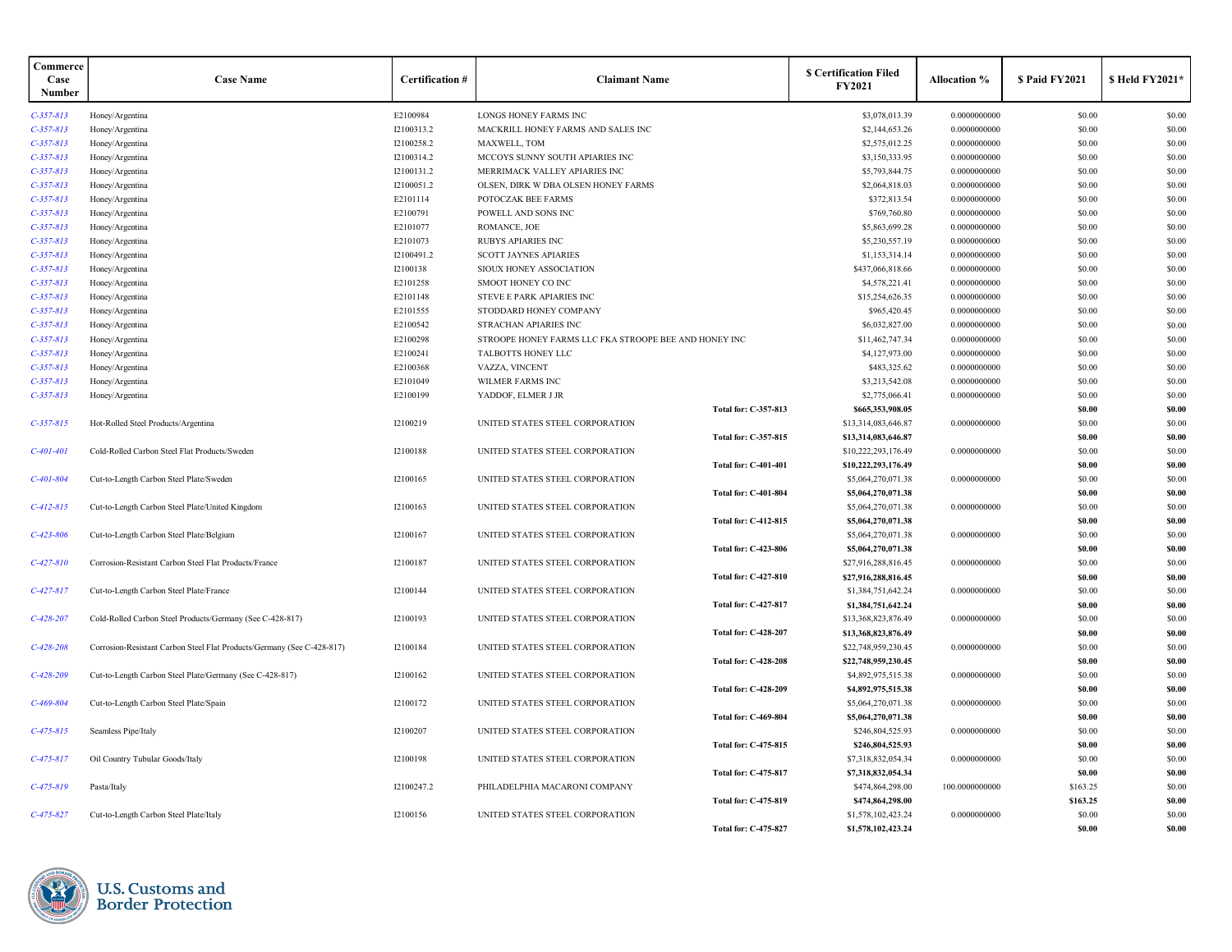| Commerce<br>Case<br>Number | <b>Case Name</b>                                                       | <b>Certification #</b> | <b>Claimant Name</b>                                  |                             | <b>S</b> Certification Filed<br><b>FY2021</b> | <b>Allocation</b> % | \$ Paid FY2021 | <b>SHeld FY2021*</b> |
|----------------------------|------------------------------------------------------------------------|------------------------|-------------------------------------------------------|-----------------------------|-----------------------------------------------|---------------------|----------------|----------------------|
| $C-357-813$                | Honey/Argentina                                                        | E2100984               | LONGS HONEY FARMS INC                                 |                             | \$3,078,013.39                                | 0.0000000000        | \$0.00         | \$0.00               |
| $C-357-813$                | Honey/Argentina                                                        | 12100313.2             | MACKRILL HONEY FARMS AND SALES INC                    |                             | \$2,144,653.26                                | 0.0000000000        | \$0.00         | \$0.00               |
| $C-357-813$                | Honey/Argentina                                                        | I2100258.2             | MAXWELL, TOM                                          |                             | \$2,575,012.25                                | 0.0000000000        | \$0.00         | \$0.00               |
| $C-357-813$                | Honey/Argentina                                                        | 12100314.2             | MCCOYS SUNNY SOUTH APIARIES INC                       |                             | \$3,150,333.95                                | 0.0000000000        | \$0.00         | \$0.00               |
| $C-357-813$                | Honey/Argentina                                                        | 12100131.2             | MERRIMACK VALLEY APIARIES INC                         |                             | \$5,793,844.75                                | 0.0000000000        | \$0.00         | \$0.00               |
| $C-357-813$                | Honey/Argentina                                                        | 12100051.2             | OLSEN, DIRK W DBA OLSEN HONEY FARMS                   |                             | \$2,064,818.03                                | 0.0000000000        | \$0.00         | \$0.00               |
| $C-357-813$                | Honey/Argentina                                                        | E2101114               | POTOCZAK BEE FARMS                                    |                             | \$372,813.54                                  | 0.0000000000        | \$0.00         | \$0.00               |
| $C-357-813$                | Honey/Argentina                                                        | E2100791               | POWELL AND SONS INC                                   |                             | \$769,760.80                                  | 0.0000000000        | \$0.00         | \$0.00               |
| $C-357-813$                | Honey/Argentina                                                        | E2101077               | ROMANCE, JOE                                          |                             | \$5,863,699.28                                | 0.0000000000        | \$0.00         | \$0.00               |
| $C-357-813$                | Honey/Argentina                                                        | E2101073               | <b>RUBYS APIARIES INC</b>                             |                             | \$5,230,557.19                                | 0.0000000000        | \$0.00         | \$0.00               |
| $C-357-813$                | Honey/Argentina                                                        | I2100491.2             | <b>SCOTT JAYNES APIARIES</b>                          |                             | \$1,153,314.14                                | 0.0000000000        | \$0.00         | \$0.00               |
| $C - 357 - 813$            | Honey/Argentina                                                        | I2100138               | SIOUX HONEY ASSOCIATION                               |                             | \$437,066,818.66                              | 0.0000000000        | \$0.00         | \$0.00               |
| $C-357-813$                | Honey/Argentina                                                        | E2101258               | SMOOT HONEY CO INC                                    |                             | \$4,578,221.41                                | 0.0000000000        | \$0.00         | \$0.00               |
| $C-357-813$                | Honey/Argentina                                                        | E2101148               | STEVE E PARK APIARIES INC                             |                             | \$15,254,626.35                               | 0.0000000000        | \$0.00         | \$0.00               |
| $C-357-813$                | Honey/Argentina                                                        | E2101555               | STODDARD HONEY COMPANY                                |                             | \$965,420.45                                  | 0.0000000000        | \$0.00         | \$0.00               |
| $C-357-813$                | Honey/Argentina                                                        | E2100542               | STRACHAN APIARIES INC                                 |                             | \$6,032,827.00                                | 0.0000000000        | \$0.00         | \$0.00               |
| $C-357-813$                | Honey/Argentina                                                        | E2100298               | STROOPE HONEY FARMS LLC FKA STROOPE BEE AND HONEY INC |                             | \$11,462,747.34                               | 0.0000000000        | \$0.00         | \$0.00               |
| $C-357-813$                | Honey/Argentina                                                        | E2100241               | TALBOTTS HONEY LLC                                    |                             | \$4,127,973.00                                | 0.0000000000        | \$0.00         | \$0.00               |
| $C-357-813$                | Honey/Argentina                                                        | E2100368               | VAZZA, VINCENT                                        |                             | \$483,325.62                                  | 0.0000000000        | \$0.00         | \$0.00               |
| $C-357-813$                | Honey/Argentina                                                        | E2101049               | <b>WILMER FARMS INC</b>                               |                             | \$3,213,542.08                                | 0.0000000000        | \$0.00         | \$0.00               |
| $C-357-813$                | Honey/Argentina                                                        | E2100199               | YADDOF, ELMER J JR                                    |                             | \$2,775,066.41                                | 0.0000000000        | \$0.00         | \$0.00               |
|                            |                                                                        |                        |                                                       | Total for: C-357-813        | \$665,353,908.05                              |                     | \$0.00         | \$0.00               |
| $C - 357 - 815$            | Hot-Rolled Steel Products/Argentina                                    | 12100219               | UNITED STATES STEEL CORPORATION                       |                             | \$13,314,083,646.87                           | 0.0000000000        | \$0.00         | \$0.00               |
|                            |                                                                        |                        |                                                       | Total for: C-357-815        | \$13,314,083,646.87                           |                     | \$0.00         | \$0.00               |
| $C-401-401$                | Cold-Rolled Carbon Steel Flat Products/Sweden                          | 12100188               | UNITED STATES STEEL CORPORATION                       |                             | \$10,222,293,176.49                           | 0.0000000000        | \$0.00         | \$0.00               |
|                            |                                                                        |                        |                                                       | <b>Total for: C-401-401</b> | \$10,222,293,176.49                           |                     | \$0.00         | \$0.00               |
| $C-401-804$                | Cut-to-Length Carbon Steel Plate/Sweden                                | I2100165               | UNITED STATES STEEL CORPORATION                       |                             | \$5,064,270,071.38                            | 0.0000000000        | \$0.00         | \$0.00               |
|                            |                                                                        |                        |                                                       | <b>Total for: C-401-804</b> | \$5,064,270,071.38                            |                     | \$0.00         | \$0.00               |
| $C - 412 - 815$            | Cut-to-Length Carbon Steel Plate/United Kingdom                        | 12100163               | UNITED STATES STEEL CORPORATION                       |                             | \$5,064,270,071.38                            | 0.0000000000        | \$0.00         | \$0.00               |
|                            |                                                                        |                        |                                                       | <b>Total for: C-412-815</b> | \$5,064,270,071.38                            |                     | \$0.00         | \$0.00               |
| $C - 423 - 806$            | Cut-to-Length Carbon Steel Plate/Belgium                               | 12100167               | UNITED STATES STEEL CORPORATION                       |                             | \$5,064,270,071.38                            | 0.0000000000        | \$0.00         | \$0.00               |
|                            |                                                                        |                        |                                                       | <b>Total for: C-423-806</b> | \$5,064,270,071.38                            |                     | \$0.00         | \$0.00               |
| $C - 427 - 810$            | Corrosion-Resistant Carbon Steel Flat Products/France                  | 12100187               | UNITED STATES STEEL CORPORATION                       |                             | \$27,916,288,816.45                           | 0.0000000000        | \$0.00         | \$0.00               |
|                            |                                                                        |                        |                                                       | <b>Total for: C-427-810</b> | \$27,916,288,816.45                           |                     | \$0.00         | \$0.00               |
| $C-427-817$                | Cut-to-Length Carbon Steel Plate/France                                | I2100144               | UNITED STATES STEEL CORPORATION                       |                             | \$1,384,751,642.24                            | 0.0000000000        | \$0.00         | \$0.00               |
|                            |                                                                        |                        |                                                       | Total for: C-427-817        | \$1,384,751,642.24                            |                     | \$0.00         | \$0.00               |
| $C - 428 - 207$            | Cold-Rolled Carbon Steel Products/Germany (See C-428-817)              | 12100193               | UNITED STATES STEEL CORPORATION                       |                             | \$13,368,823,876.49                           | 0.0000000000        | \$0.00         | \$0.00               |
|                            |                                                                        |                        |                                                       | Total for: C-428-207        | \$13,368,823,876.49                           |                     | \$0.00         | \$0.00               |
| $C - 428 - 208$            | Corrosion-Resistant Carbon Steel Flat Products/Germany (See C-428-817) | 12100184               | UNITED STATES STEEL CORPORATION                       |                             | \$22,748,959,230.45                           | 0.0000000000        | \$0.00         | \$0.00               |
|                            |                                                                        |                        |                                                       | <b>Total for: C-428-208</b> | \$22,748,959,230.45                           |                     | \$0.00         | \$0.00               |
| $C-428-209$                | Cut-to-Length Carbon Steel Plate/Germany (See C-428-817)               | 12100162               | UNITED STATES STEEL CORPORATION                       |                             | \$4,892,975,515.38                            | 0.0000000000        | \$0.00         | \$0.00               |
|                            |                                                                        |                        |                                                       | Total for: C-428-209        | \$4,892,975,515.38                            |                     | \$0.00         | \$0.00               |
| $C-469-804$                | Cut-to-Length Carbon Steel Plate/Spain                                 | 12100172               | UNITED STATES STEEL CORPORATION                       |                             | \$5,064,270,071.38                            | 0.0000000000        | \$0.00         | \$0.00               |
|                            |                                                                        |                        |                                                       | Total for: C-469-804        | \$5,064,270,071.38                            |                     | \$0.00         | \$0.00               |
| $C-475-815$                | Seamless Pipe/Italy                                                    | I2100207               | UNITED STATES STEEL CORPORATION                       |                             | \$246,804,525.93                              | 0.0000000000        | \$0.00         | \$0.00               |
|                            |                                                                        |                        |                                                       | Total for: C-475-815        | \$246,804,525.93                              |                     | \$0.00         | \$0.00               |
| $C - 475 - 817$            | Oil Country Tubular Goods/Italy                                        | I2100198               | UNITED STATES STEEL CORPORATION                       |                             | \$7,318,832,054.34                            | 0.0000000000        | \$0.00         | \$0.00               |
|                            |                                                                        |                        |                                                       | Total for: C-475-817        | \$7,318,832,054.34                            |                     | \$0.00         | \$0.00               |
| $C-475-819$                | Pasta/Italy                                                            | I2100247.2             | PHILADELPHIA MACARONI COMPANY                         |                             | \$474,864,298.00                              | 100.0000000000      | \$163.25       | \$0.00               |
|                            |                                                                        |                        |                                                       | <b>Total for: C-475-819</b> | \$474,864,298.00                              |                     | \$163.25       | \$0.00               |
| $C-475-827$                | Cut-to-Length Carbon Steel Plate/Italy                                 | 12100156               | UNITED STATES STEEL CORPORATION                       |                             | \$1,578,102,423.24                            | 0.0000000000        | \$0.00         | \$0.00               |
|                            |                                                                        |                        |                                                       | Total for: C-475-827        | \$1,578,102,423.24                            |                     | \$0.00         | \$0.00               |